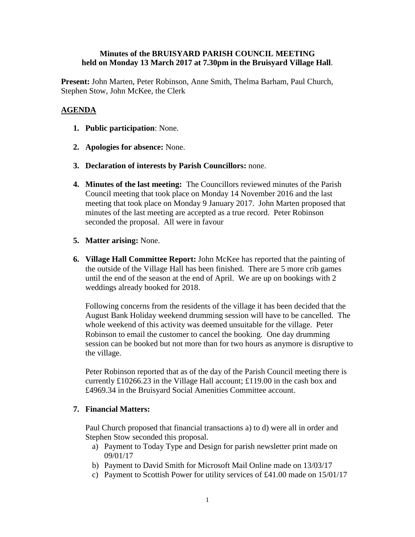## **Minutes of the BRUISYARD PARISH COUNCIL MEETING held on Monday 13 March 2017 at 7.30pm in the Bruisyard Village Hall**.

**Present:** John Marten, Peter Robinson, Anne Smith, Thelma Barham, Paul Church, Stephen Stow, John McKee, the Clerk

# **AGENDA**

- **1. Public participation**: None.
- **2. Apologies for absence:** None.
- **3. Declaration of interests by Parish Councillors:** none.
- **4. Minutes of the last meeting:** The Councillors reviewed minutes of the Parish Council meeting that took place on Monday 14 November 2016 and the last meeting that took place on Monday 9 January 2017. John Marten proposed that minutes of the last meeting are accepted as a true record. Peter Robinson seconded the proposal. All were in favour
- **5. Matter arising:** None.
- **6. Village Hall Committee Report:** John McKee has reported that the painting of the outside of the Village Hall has been finished. There are 5 more crib games until the end of the season at the end of April. We are up on bookings with 2 weddings already booked for 2018.

Following concerns from the residents of the village it has been decided that the August Bank Holiday weekend drumming session will have to be cancelled. The whole weekend of this activity was deemed unsuitable for the village. Peter Robinson to email the customer to cancel the booking. One day drumming session can be booked but not more than for two hours as anymore is disruptive to the village.

Peter Robinson reported that as of the day of the Parish Council meeting there is currently £10266.23 in the Village Hall account; £119.00 in the cash box and £4969.34 in the Bruisyard Social Amenities Committee account.

# **7. Financial Matters:**

Paul Church proposed that financial transactions a) to d) were all in order and Stephen Stow seconded this proposal.

- a) Payment to Today Type and Design for parish newsletter print made on 09/01/17
- b) Payment to David Smith for Microsoft Mail Online made on 13/03/17
- c) Payment to Scottish Power for utility services of £41.00 made on 15/01/17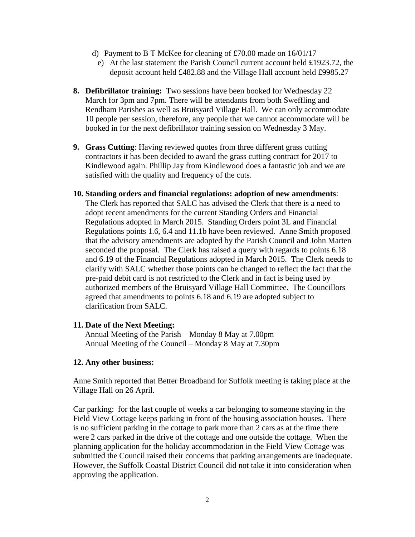- d) Payment to B T McKee for cleaning of £70.00 made on 16/01/17
	- e) At the last statement the Parish Council current account held £1923.72, the deposit account held £482.88 and the Village Hall account held £9985.27
- **8. Defibrillator training:** Two sessions have been booked for Wednesday 22 March for 3pm and 7pm. There will be attendants from both Sweffling and Rendham Parishes as well as Bruisyard Village Hall. We can only accommodate 10 people per session, therefore, any people that we cannot accommodate will be booked in for the next defibrillator training session on Wednesday 3 May.
- **9. Grass Cutting**: Having reviewed quotes from three different grass cutting contractors it has been decided to award the grass cutting contract for 2017 to Kindlewood again. Phillip Jay from Kindlewood does a fantastic job and we are satisfied with the quality and frequency of the cuts.
- **10. Standing orders and financial regulations: adoption of new amendments**: The Clerk has reported that SALC has advised the Clerk that there is a need to

adopt recent amendments for the current Standing Orders and Financial Regulations adopted in March 2015. Standing Orders point 3L and Financial Regulations points 1.6, 6.4 and 11.1b have been reviewed. Anne Smith proposed that the advisory amendments are adopted by the Parish Council and John Marten seconded the proposal. The Clerk has raised a query with regards to points 6.18 and 6.19 of the Financial Regulations adopted in March 2015. The Clerk needs to clarify with SALC whether those points can be changed to reflect the fact that the pre-paid debit card is not restricted to the Clerk and in fact is being used by authorized members of the Bruisyard Village Hall Committee. The Councillors agreed that amendments to points 6.18 and 6.19 are adopted subject to clarification from SALC.

## **11. Date of the Next Meeting:**

Annual Meeting of the Parish – Monday 8 May at 7.00pm Annual Meeting of the Council – Monday 8 May at 7.30pm

### **12. Any other business:**

Anne Smith reported that Better Broadband for Suffolk meeting is taking place at the Village Hall on 26 April.

Car parking: for the last couple of weeks a car belonging to someone staying in the Field View Cottage keeps parking in front of the housing association houses. There is no sufficient parking in the cottage to park more than 2 cars as at the time there were 2 cars parked in the drive of the cottage and one outside the cottage. When the planning application for the holiday accommodation in the Field View Cottage was submitted the Council raised their concerns that parking arrangements are inadequate. However, the Suffolk Coastal District Council did not take it into consideration when approving the application.